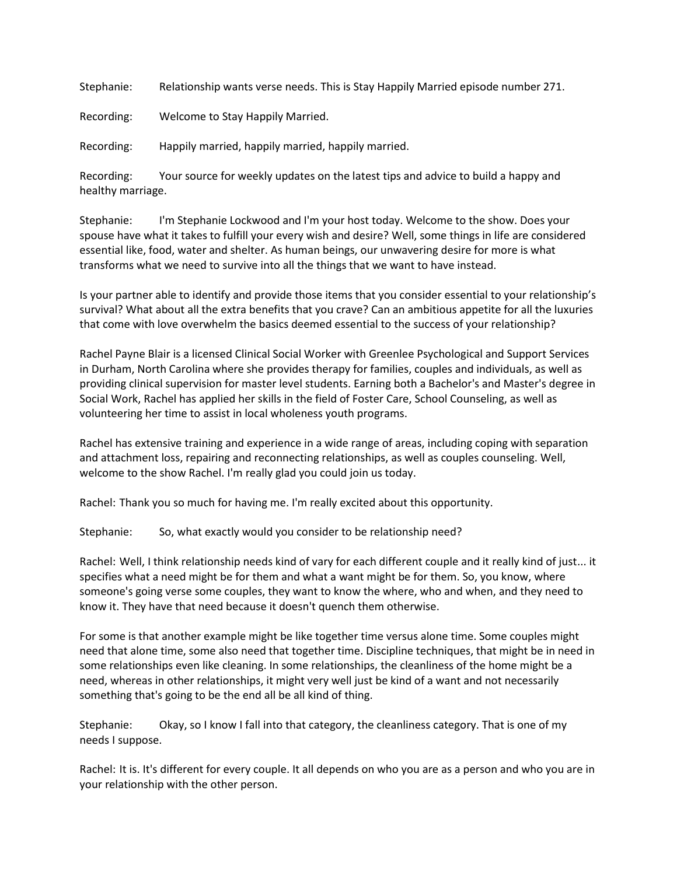Stephanie: Relationship wants verse needs. This is Stay Happily Married episode number 271.

Recording: Welcome to Stay Happily Married.

Recording: Happily married, happily married, happily married.

Recording: Your source for weekly updates on the latest tips and advice to build a happy and healthy marriage.

Stephanie: I'm Stephanie Lockwood and I'm your host today. Welcome to the show. Does your spouse have what it takes to fulfill your every wish and desire? Well, some things in life are considered essential like, food, water and shelter. As human beings, our unwavering desire for more is what transforms what we need to survive into all the things that we want to have instead.

Is your partner able to identify and provide those items that you consider essential to your relationship's survival? What about all the extra benefits that you crave? Can an ambitious appetite for all the luxuries that come with love overwhelm the basics deemed essential to the success of your relationship?

Rachel Payne Blair is a licensed Clinical Social Worker with Greenlee Psychological and Support Services in Durham, North Carolina where she provides therapy for families, couples and individuals, as well as providing clinical supervision for master level students. Earning both a Bachelor's and Master's degree in Social Work, Rachel has applied her skills in the field of Foster Care, School Counseling, as well as volunteering her time to assist in local wholeness youth programs.

Rachel has extensive training and experience in a wide range of areas, including coping with separation and attachment loss, repairing and reconnecting relationships, as well as couples counseling. Well, welcome to the show Rachel. I'm really glad you could join us today.

Rachel: Thank you so much for having me. I'm really excited about this opportunity.

Stephanie: So, what exactly would you consider to be relationship need?

Rachel: Well, I think relationship needs kind of vary for each different couple and it really kind of just... it specifies what a need might be for them and what a want might be for them. So, you know, where someone's going verse some couples, they want to know the where, who and when, and they need to know it. They have that need because it doesn't quench them otherwise.

For some is that another example might be like together time versus alone time. Some couples might need that alone time, some also need that together time. Discipline techniques, that might be in need in some relationships even like cleaning. In some relationships, the cleanliness of the home might be a need, whereas in other relationships, it might very well just be kind of a want and not necessarily something that's going to be the end all be all kind of thing.

Stephanie: Okay, so I know I fall into that category, the cleanliness category. That is one of my needs I suppose.

Rachel: It is. It's different for every couple. It all depends on who you are as a person and who you are in your relationship with the other person.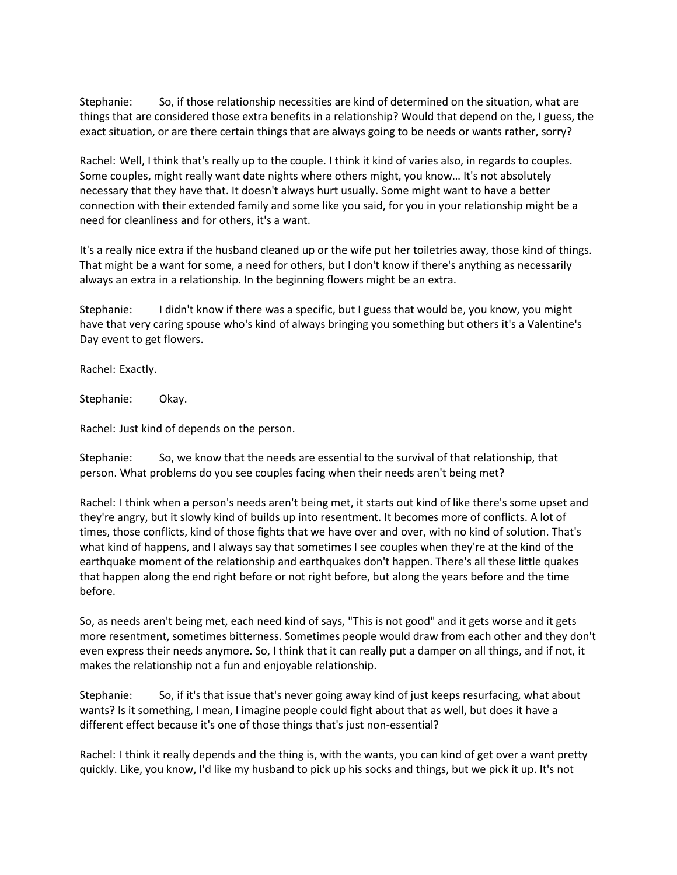Stephanie: So, if those relationship necessities are kind of determined on the situation, what are things that are considered those extra benefits in a relationship? Would that depend on the, I guess, the exact situation, or are there certain things that are always going to be needs or wants rather, sorry?

Rachel: Well, I think that's really up to the couple. I think it kind of varies also, in regards to couples. Some couples, might really want date nights where others might, you know… It's not absolutely necessary that they have that. It doesn't always hurt usually. Some might want to have a better connection with their extended family and some like you said, for you in your relationship might be a need for cleanliness and for others, it's a want.

It's a really nice extra if the husband cleaned up or the wife put her toiletries away, those kind of things. That might be a want for some, a need for others, but I don't know if there's anything as necessarily always an extra in a relationship. In the beginning flowers might be an extra.

Stephanie: I didn't know if there was a specific, but I guess that would be, you know, you might have that very caring spouse who's kind of always bringing you something but others it's a Valentine's Day event to get flowers.

Rachel: Exactly.

Stephanie: Okay.

Rachel: Just kind of depends on the person.

Stephanie: So, we know that the needs are essential to the survival of that relationship, that person. What problems do you see couples facing when their needs aren't being met?

Rachel: I think when a person's needs aren't being met, it starts out kind of like there's some upset and they're angry, but it slowly kind of builds up into resentment. It becomes more of conflicts. A lot of times, those conflicts, kind of those fights that we have over and over, with no kind of solution. That's what kind of happens, and I always say that sometimes I see couples when they're at the kind of the earthquake moment of the relationship and earthquakes don't happen. There's all these little quakes that happen along the end right before or not right before, but along the years before and the time before.

So, as needs aren't being met, each need kind of says, "This is not good" and it gets worse and it gets more resentment, sometimes bitterness. Sometimes people would draw from each other and they don't even express their needs anymore. So, I think that it can really put a damper on all things, and if not, it makes the relationship not a fun and enjoyable relationship.

Stephanie: So, if it's that issue that's never going away kind of just keeps resurfacing, what about wants? Is it something, I mean, I imagine people could fight about that as well, but does it have a different effect because it's one of those things that's just non-essential?

Rachel: I think it really depends and the thing is, with the wants, you can kind of get over a want pretty quickly. Like, you know, I'd like my husband to pick up his socks and things, but we pick it up. It's not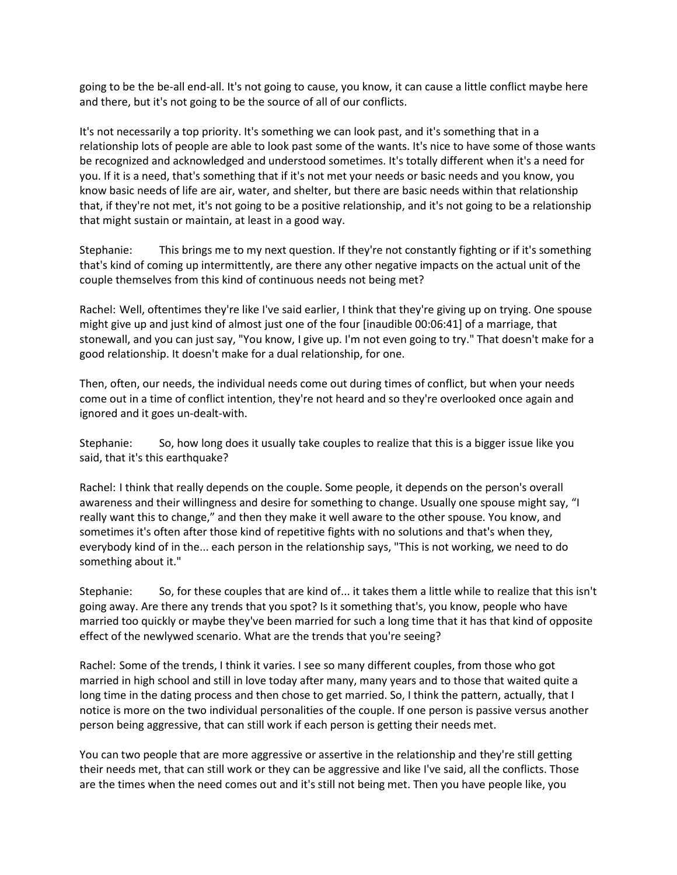going to be the be-all end-all. It's not going to cause, you know, it can cause a little conflict maybe here and there, but it's not going to be the source of all of our conflicts.

It's not necessarily a top priority. It's something we can look past, and it's something that in a relationship lots of people are able to look past some of the wants. It's nice to have some of those wants be recognized and acknowledged and understood sometimes. It's totally different when it's a need for you. If it is a need, that's something that if it's not met your needs or basic needs and you know, you know basic needs of life are air, water, and shelter, but there are basic needs within that relationship that, if they're not met, it's not going to be a positive relationship, and it's not going to be a relationship that might sustain or maintain, at least in a good way.

Stephanie: This brings me to my next question. If they're not constantly fighting or if it's something that's kind of coming up intermittently, are there any other negative impacts on the actual unit of the couple themselves from this kind of continuous needs not being met?

Rachel: Well, oftentimes they're like I've said earlier, I think that they're giving up on trying. One spouse might give up and just kind of almost just one of the four [inaudible 00:06:41] of a marriage, that stonewall, and you can just say, "You know, I give up. I'm not even going to try." That doesn't make for a good relationship. It doesn't make for a dual relationship, for one.

Then, often, our needs, the individual needs come out during times of conflict, but when your needs come out in a time of conflict intention, they're not heard and so they're overlooked once again and ignored and it goes un-dealt-with.

Stephanie: So, how long does it usually take couples to realize that this is a bigger issue like you said, that it's this earthquake?

Rachel: I think that really depends on the couple. Some people, it depends on the person's overall awareness and their willingness and desire for something to change. Usually one spouse might say, "I really want this to change," and then they make it well aware to the other spouse. You know, and sometimes it's often after those kind of repetitive fights with no solutions and that's when they, everybody kind of in the... each person in the relationship says, "This is not working, we need to do something about it."

Stephanie: So, for these couples that are kind of... it takes them a little while to realize that this isn't going away. Are there any trends that you spot? Is it something that's, you know, people who have married too quickly or maybe they've been married for such a long time that it has that kind of opposite effect of the newlywed scenario. What are the trends that you're seeing?

Rachel: Some of the trends, I think it varies. I see so many different couples, from those who got married in high school and still in love today after many, many years and to those that waited quite a long time in the dating process and then chose to get married. So, I think the pattern, actually, that I notice is more on the two individual personalities of the couple. If one person is passive versus another person being aggressive, that can still work if each person is getting their needs met.

You can two people that are more aggressive or assertive in the relationship and they're still getting their needs met, that can still work or they can be aggressive and like I've said, all the conflicts. Those are the times when the need comes out and it's still not being met. Then you have people like, you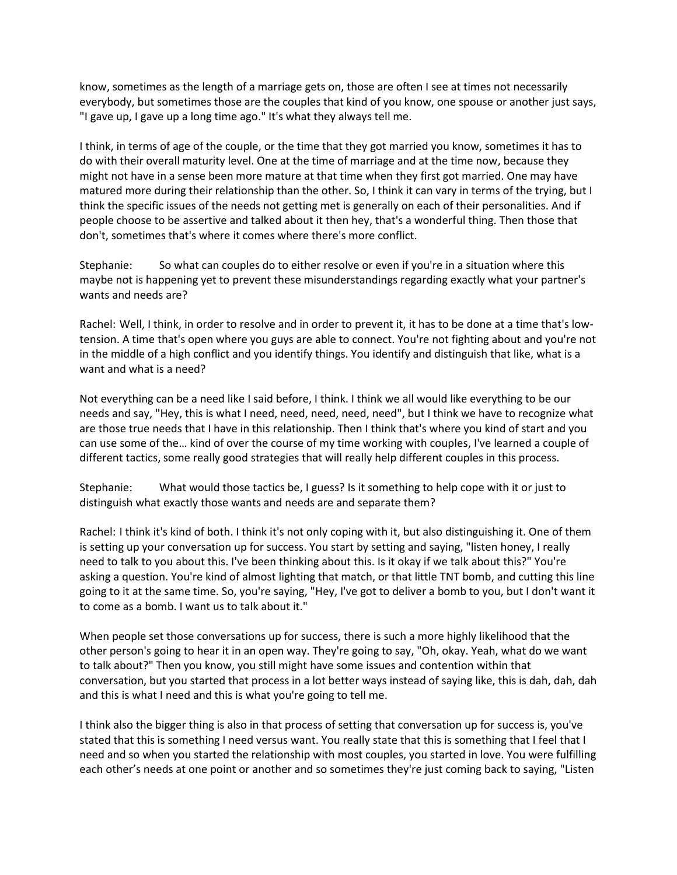know, sometimes as the length of a marriage gets on, those are often I see at times not necessarily everybody, but sometimes those are the couples that kind of you know, one spouse or another just says, "I gave up, I gave up a long time ago." It's what they always tell me.

I think, in terms of age of the couple, or the time that they got married you know, sometimes it has to do with their overall maturity level. One at the time of marriage and at the time now, because they might not have in a sense been more mature at that time when they first got married. One may have matured more during their relationship than the other. So, I think it can vary in terms of the trying, but I think the specific issues of the needs not getting met is generally on each of their personalities. And if people choose to be assertive and talked about it then hey, that's a wonderful thing. Then those that don't, sometimes that's where it comes where there's more conflict.

Stephanie: So what can couples do to either resolve or even if you're in a situation where this maybe not is happening yet to prevent these misunderstandings regarding exactly what your partner's wants and needs are?

Rachel: Well, I think, in order to resolve and in order to prevent it, it has to be done at a time that's lowtension. A time that's open where you guys are able to connect. You're not fighting about and you're not in the middle of a high conflict and you identify things. You identify and distinguish that like, what is a want and what is a need?

Not everything can be a need like I said before, I think. I think we all would like everything to be our needs and say, "Hey, this is what I need, need, need, need, need", but I think we have to recognize what are those true needs that I have in this relationship. Then I think that's where you kind of start and you can use some of the… kind of over the course of my time working with couples, I've learned a couple of different tactics, some really good strategies that will really help different couples in this process.

Stephanie: What would those tactics be, I guess? Is it something to help cope with it or just to distinguish what exactly those wants and needs are and separate them?

Rachel: I think it's kind of both. I think it's not only coping with it, but also distinguishing it. One of them is setting up your conversation up for success. You start by setting and saying, "listen honey, I really need to talk to you about this. I've been thinking about this. Is it okay if we talk about this?" You're asking a question. You're kind of almost lighting that match, or that little TNT bomb, and cutting this line going to it at the same time. So, you're saying, "Hey, I've got to deliver a bomb to you, but I don't want it to come as a bomb. I want us to talk about it."

When people set those conversations up for success, there is such a more highly likelihood that the other person's going to hear it in an open way. They're going to say, "Oh, okay. Yeah, what do we want to talk about?" Then you know, you still might have some issues and contention within that conversation, but you started that process in a lot better ways instead of saying like, this is dah, dah, dah and this is what I need and this is what you're going to tell me.

I think also the bigger thing is also in that process of setting that conversation up for success is, you've stated that this is something I need versus want. You really state that this is something that I feel that I need and so when you started the relationship with most couples, you started in love. You were fulfilling each other's needs at one point or another and so sometimes they're just coming back to saying, "Listen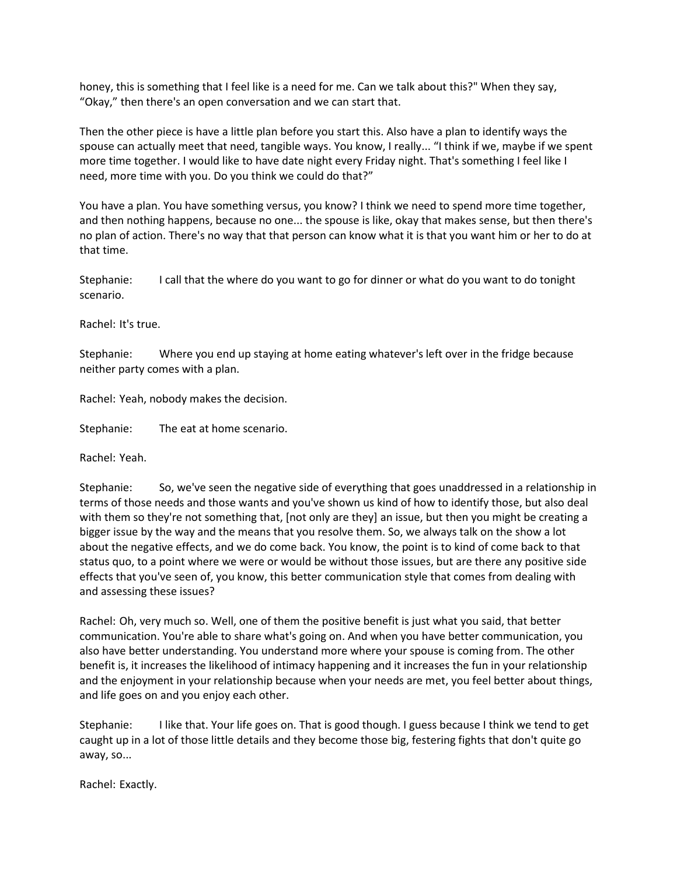honey, this is something that I feel like is a need for me. Can we talk about this?" When they say, "Okay," then there's an open conversation and we can start that.

Then the other piece is have a little plan before you start this. Also have a plan to identify ways the spouse can actually meet that need, tangible ways. You know, I really... "I think if we, maybe if we spent more time together. I would like to have date night every Friday night. That's something I feel like I need, more time with you. Do you think we could do that?"

You have a plan. You have something versus, you know? I think we need to spend more time together, and then nothing happens, because no one... the spouse is like, okay that makes sense, but then there's no plan of action. There's no way that that person can know what it is that you want him or her to do at that time.

Stephanie: I call that the where do you want to go for dinner or what do you want to do tonight scenario.

Rachel: It's true.

Stephanie: Where you end up staying at home eating whatever's left over in the fridge because neither party comes with a plan.

Rachel: Yeah, nobody makes the decision.

Stephanie: The eat at home scenario.

Rachel: Yeah.

Stephanie: So, we've seen the negative side of everything that goes unaddressed in a relationship in terms of those needs and those wants and you've shown us kind of how to identify those, but also deal with them so they're not something that, [not only are they] an issue, but then you might be creating a bigger issue by the way and the means that you resolve them. So, we always talk on the show a lot about the negative effects, and we do come back. You know, the point is to kind of come back to that status quo, to a point where we were or would be without those issues, but are there any positive side effects that you've seen of, you know, this better communication style that comes from dealing with and assessing these issues?

Rachel: Oh, very much so. Well, one of them the positive benefit is just what you said, that better communication. You're able to share what's going on. And when you have better communication, you also have better understanding. You understand more where your spouse is coming from. The other benefit is, it increases the likelihood of intimacy happening and it increases the fun in your relationship and the enjoyment in your relationship because when your needs are met, you feel better about things, and life goes on and you enjoy each other.

Stephanie: I like that. Your life goes on. That is good though. I guess because I think we tend to get caught up in a lot of those little details and they become those big, festering fights that don't quite go away, so...

Rachel: Exactly.